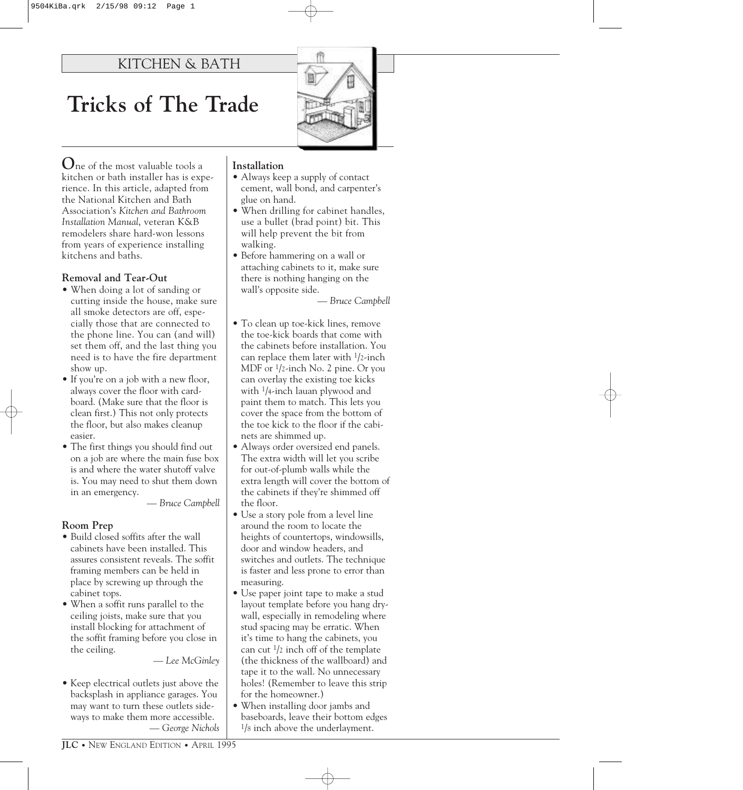# KITCHEN & BATH

# **Tricks of The Trade**

**O**ne of the most valuable tools a kitchen or bath installer has is experience. In this article, adapted from the National Kitchen and Bath Association's *Kitchen and Bathroom Installation Manual*, veteran K&B remodelers share hard-won lessons from years of experience installing kitchens and baths.

#### **Removal and Tear-Out**

- When doing a lot of sanding or cutting inside the house, make sure all smoke detectors are off, especially those that are connected to the phone line. You can (and will) set them off, and the last thing you need is to have the fire department show up.
- If you're on a job with a new floor, always cover the floor with cardboard. (Make sure that the floor is clean first.) This not only protects the floor, but also makes cleanup easier.
- The first things you should find out on a job are where the main fuse box is and where the water shutoff valve is. You may need to shut them down in an emergency.

*— Bruce Campbell*

#### **Room Prep**

- Build closed soffits after the wall cabinets have been installed. This assures consistent reveals. The soffit framing members can be held in place by screwing up through the cabinet tops.
- When a soffit runs parallel to the ceiling joists, make sure that you install blocking for attachment of the soffit framing before you close in the ceiling.

*— Lee McGinley*

• Keep electrical outlets just above the backsplash in appliance garages. You may want to turn these outlets sideways to make them more accessible. *— George Nichols*

#### **Installation**

- Always keep a supply of contact cement, wall bond, and carpenter's glue on hand.
- When drilling for cabinet handles, use a bullet (brad point) bit. This will help prevent the bit from walking.
- Before hammering on a wall or attaching cabinets to it, make sure there is nothing hanging on the wall's opposite side.

*— Bruce Campbell*

- To clean up toe-kick lines, remove the toe-kick boards that come with the cabinets before installation. You can replace them later with 1/2-inch MDF or 1/2-inch No. 2 pine. Or you can overlay the existing toe kicks with 1/4-inch lauan plywood and paint them to match. This lets you cover the space from the bottom of the toe kick to the floor if the cabinets are shimmed up.
- Always order oversized end panels. The extra width will let you scribe for out-of-plumb walls while the extra length will cover the bottom of the cabinets if they're shimmed off the floor.
- Use a story pole from a level line around the room to locate the heights of countertops, windowsills, door and window headers, and switches and outlets. The technique is faster and less prone to error than measuring.
- Use paper joint tape to make a stud layout template before you hang drywall, especially in remodeling where stud spacing may be erratic. When it's time to hang the cabinets, you can cut  $\frac{1}{2}$  inch off of the template (the thickness of the wallboard) and tape it to the wall. No unnecessary holes! (Remember to leave this strip for the homeowner.)
- When installing door jambs and baseboards, leave their bottom edges <sup>1</sup>/8 inch above the underlayment.